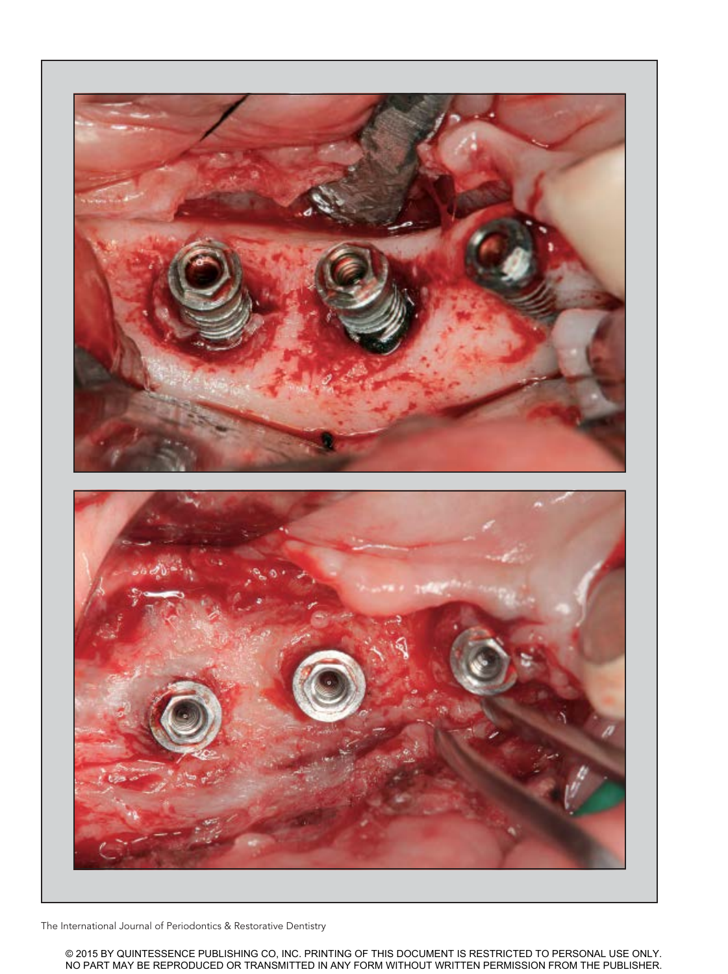

The International Journal of Periodontics & Restorative Dentistry

© 2015 BY QUINTESSENCE PUBLISHING CO, INC. PRINTING OF THIS DOCUMENT IS RESTRICTED TO PERSONAL USE ONLY. NO PART MAY BE REPRODUCED OR TRANSMITTED IN ANY FORM WITHOUT WRITTEN PERMISSION FROM THE PUBLISHER.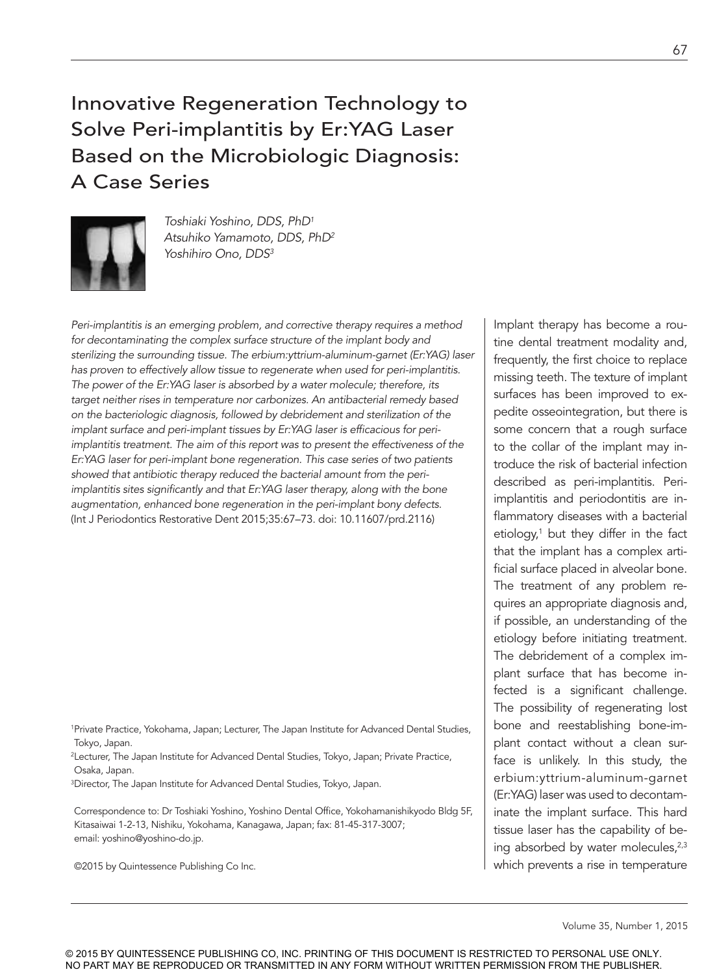# Innovative Regeneration Technology to Solve Peri-implantitis by Er:YAG Laser Based on the Microbiologic Diagnosis: A Case Series



*Toshiaki Yoshino, DDS, PhD1 Atsuhiko Yamamoto, DDS, PhD2 Yoshihiro Ono, DDS3*

*Peri-implantitis is an emerging problem, and corrective therapy requires a method for decontaminating the complex surface structure of the implant body and sterilizing the surrounding tissue. The erbium:yttrium-aluminum-garnet (Er:YAG) laser has proven to effectively allow tissue to regenerate when used for peri-implantitis. The power of the Er:YAG laser is absorbed by a water molecule; therefore, its target neither rises in temperature nor carbonizes. An antibacterial remedy based on the bacteriologic diagnosis, followed by debridement and sterilization of the implant surface and peri-implant tissues by Er:YAG laser is efficacious for peri*implantitis treatment. The aim of this report was to present the effectiveness of the *Er:YAG laser for peri-implant bone regeneration. This case series of two patients showed that antibiotic therapy reduced the bacterial amount from the periimplantitis sites significantly and that Er:YAG laser therapy, along with the bone augmentation, enhanced bone regeneration in the peri-implant bony defects.*  (Int J Periodontics Restorative Dent 2015;35:67–73. doi: 10.11607/prd.2116)

1Private Practice, Yokohama, Japan; Lecturer, The Japan Institute for Advanced Dental Studies, Tokyo, Japan.

2Lecturer, The Japan Institute for Advanced Dental Studies, Tokyo, Japan; Private Practice, Osaka, Japan.

3Director, The Japan Institute for Advanced Dental Studies, Tokyo, Japan.

Correspondence to: Dr Toshiaki Yoshino, Yoshino Dental Office, Yokohamanishikyodo Bldg 5F, Kitasaiwai 1-2-13, Nishiku, Yokohama, Kanagawa, Japan; fax: 81-45-317-3007; email: yoshino@yoshino-do.jp.

©2015 by Quintessence Publishing Co Inc.

Implant therapy has become a routine dental treatment modality and, frequently, the first choice to replace missing teeth. The texture of implant surfaces has been improved to expedite osseointegration, but there is some concern that a rough surface to the collar of the implant may introduce the risk of bacterial infection described as peri-implantitis. Periimplantitis and periodontitis are inflammatory diseases with a bacterial etiology,<sup>1</sup> but they differ in the fact that the implant has a complex artificial surface placed in alveolar bone. The treatment of any problem requires an appropriate diagnosis and, if possible, an understanding of the etiology before initiating treatment. The debridement of a complex implant surface that has become infected is a significant challenge. The possibility of regenerating lost bone and reestablishing bone-implant contact without a clean surface is unlikely. In this study, the erbium:yttrium-aluminum-garnet (Er:YAG) laser was used to decontaminate the implant surface. This hard tissue laser has the capability of being absorbed by water molecules, $2,3$ which prevents a rise in temperature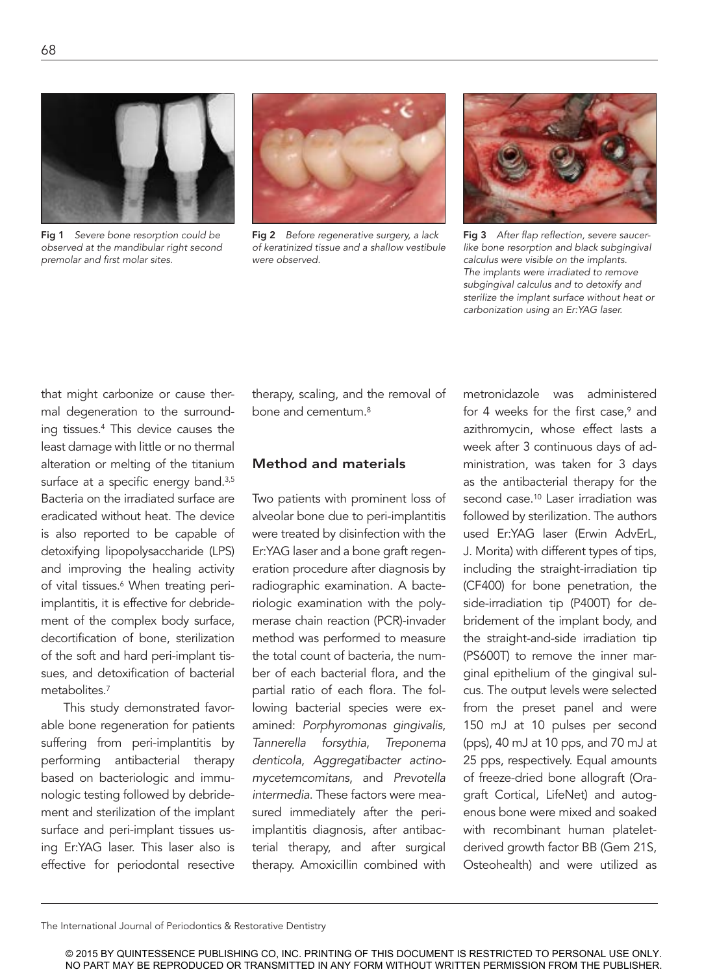

Fig 1 *Severe bone resorption could be observed at the mandibular right second premolar and first molar sites.*



Fig 2 *Before regenerative surgery, a lack of keratinized tissue and a shallow vestibule were observed.* 



Fig 3 *After flap reflection, severe saucerlike bone resorption and black subgingival calculus were visible on the implants. The implants were irradiated to remove subgingival calculus and to detoxify and sterilize the implant surface without heat or carbonization using an Er:YAG laser.*

that might carbonize or cause thermal degeneration to the surrounding tissues.4 This device causes the least damage with little or no thermal alteration or melting of the titanium surface at a specific energy band.<sup>3,5</sup> Bacteria on the irradiated surface are eradicated without heat. The device is also reported to be capable of detoxifying lipopolysaccharide (LPS) and improving the healing activity of vital tissues.<sup>6</sup> When treating periimplantitis, it is effective for debridement of the complex body surface, decortification of bone, sterilization of the soft and hard peri-implant tissues, and detoxification of bacterial metabolites.7

This study demonstrated favorable bone regeneration for patients suffering from peri-implantitis by performing antibacterial therapy based on bacteriologic and immunologic testing followed by debridement and sterilization of the implant surface and peri-implant tissues using Er:YAG laser. This laser also is effective for periodontal resective

therapy, scaling, and the removal of bone and cementum.8

# Method and materials

Two patients with prominent loss of alveolar bone due to peri-implantitis were treated by disinfection with the Er:YAG laser and a bone graft regeneration procedure after diagnosis by radiographic examination. A bacteriologic examination with the polymerase chain reaction (PCR)-invader method was performed to measure the total count of bacteria, the number of each bacterial flora, and the partial ratio of each flora. The following bacterial species were examined: *Porphyromonas gingivalis*, *Tannerella forsythia*, *Treponema denticola*, *Aggregatibacter actinomycetemcomitans*, and *Prevotella intermedia*. These factors were measured immediately after the periimplantitis diagnosis, after antibacterial therapy, and after surgical therapy. Amoxicillin combined with

metronidazole was administered for 4 weeks for the first case, $9$  and azithromycin, whose effect lasts a week after 3 continuous days of administration, was taken for 3 days as the antibacterial therapy for the second case.<sup>10</sup> Laser irradiation was followed by sterilization. The authors used Er:YAG laser (Erwin AdvErL, J. Morita) with different types of tips, including the straight-irradiation tip (CF400) for bone penetration, the side-irradiation tip (P400T) for debridement of the implant body, and the straight-and-side irradiation tip (PS600T) to remove the inner marginal epithelium of the gingival sulcus. The output levels were selected from the preset panel and were 150 mJ at 10 pulses per second (pps), 40 mJ at 10 pps, and 70 mJ at 25 pps, respectively. Equal amounts of freeze-dried bone allograft (Oragraft Cortical, LifeNet) and autogenous bone were mixed and soaked with recombinant human plateletderived growth factor BB (Gem 21S, Osteohealth) and were utilized as

The International Journal of Periodontics & Restorative Dentistry

<sup>© 2015</sup> BY QUINTESSENCE PUBLISHING CO, INC. PRINTING OF THIS DOCUMENT IS RESTRICTED TO PERSONAL USE ONLY. NO PART MAY BE REPRODUCED OR TRANSMITTED IN ANY FORM WITHOUT WRITTEN PERMISSION FROM THE PUBLISHER.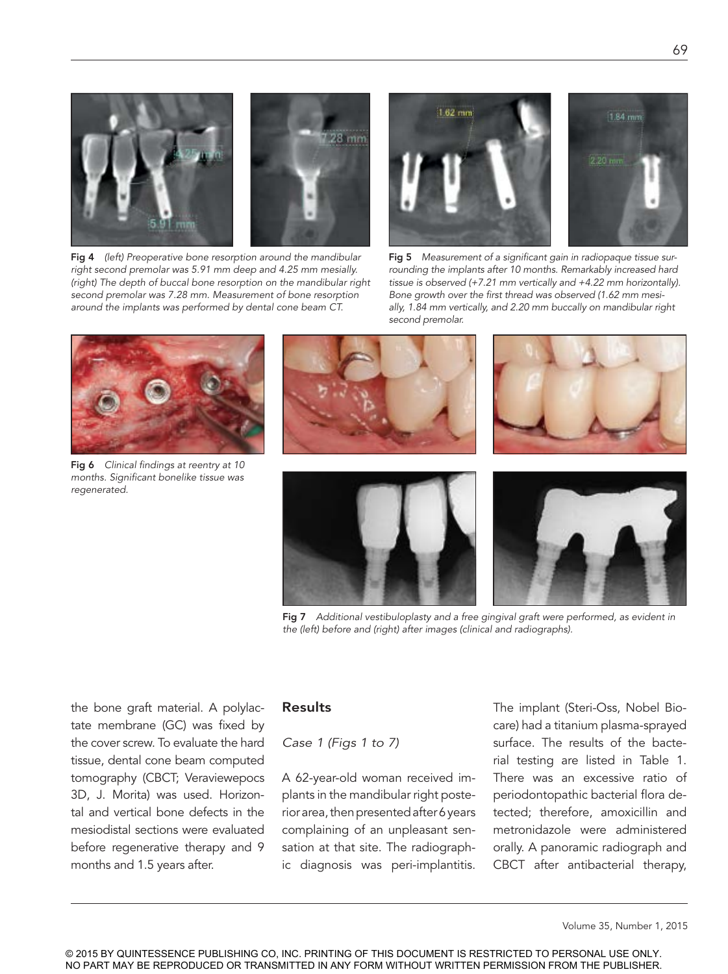

Fig 4 *(left) Preoperative bone resorption around the mandibular right second premolar was 5.91 mm deep and 4.25 mm mesially. (right) The depth of buccal bone resorption on the mandibular right second premolar was 7.28 mm. Measurement of bone resorption around the implants was performed by dental cone beam CT.* 



Fig 5 *Measurement of a significant gain in radiopaque tissue surrounding the implants after 10 months. Remarkably increased hard tissue is observed (+7.21 mm vertically and +4.22 mm horizontally). Bone growth over the first thread was observed (1.62 mm mesially, 1.84 mm vertically, and 2.20 mm buccally on mandibular right second premolar.*





Fig 7 *Additional vestibuloplasty and a free gingival graft were performed, as evident in the (left) before and (right) after images (clinical and radiographs).* 

the bone graft material. A polylactate membrane (GC) was fixed by the cover screw. To evaluate the hard tissue, dental cone beam computed tomography (CBCT; Veraviewepocs 3D, J. Morita) was used. Horizontal and vertical bone defects in the mesiodistal sections were evaluated before regenerative therapy and 9 months and 1.5 years after.

#### Results

*Case 1 (Figs 1 to 7)*

A 62-year-old woman received implants in the mandibular right posterior area, then presented after 6 years complaining of an unpleasant sensation at that site. The radiographic diagnosis was peri-implantitis.

The implant (Steri-Oss, Nobel Biocare) had a titanium plasma-sprayed surface. The results of the bacterial testing are listed in Table 1. There was an excessive ratio of periodontopathic bacterial flora detected; therefore, amoxicillin and metronidazole were administered orally. A panoramic radiograph and CBCT after antibacterial therapy,

© 2015 BY QUINTESSENCE PUBLISHING CO, INC. PRINTING OF THIS DOCUMENT IS RESTRICTED TO PERSONAL USE ONLY. NO PART MAY BE REPRODUCED OR TRANSMITTED IN ANY FORM WITHOUT WRITTEN PERMISSION FROM THE PUBLISHER.

Volume 35, Number 1, 2015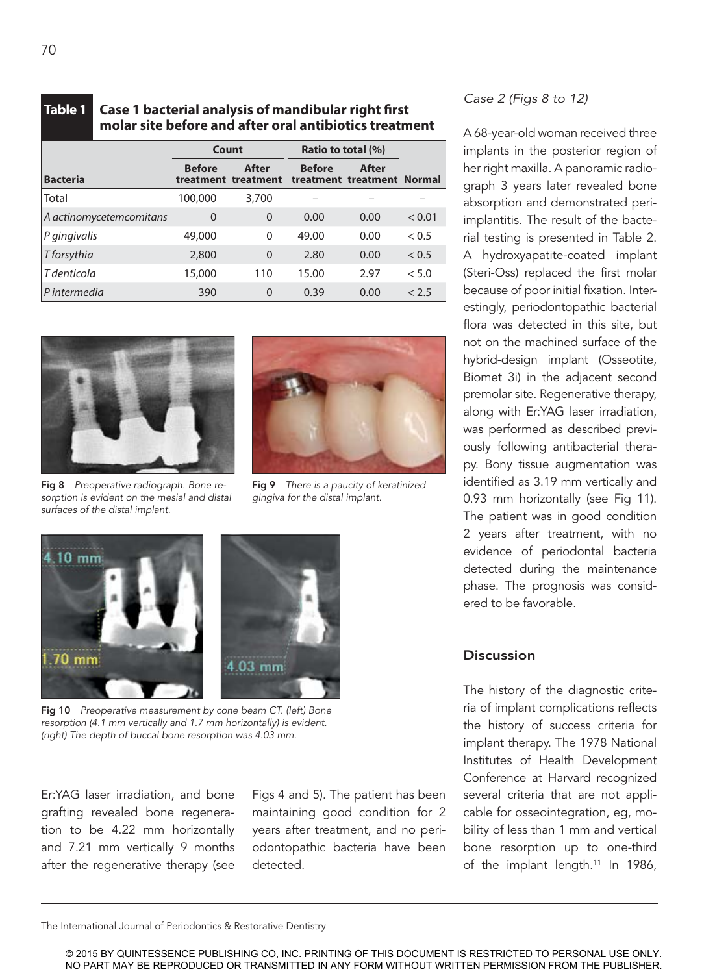# **Table 1 Case 1 bacterial analysis of mandibular right first molar site before and after oral antibiotics treatment**

|                         | Count         |                              | Ratio to total (%) |                                     |            |
|-------------------------|---------------|------------------------------|--------------------|-------------------------------------|------------|
| <b>Bacteria</b>         | <b>Before</b> | After<br>treatment treatment | <b>Before</b>      | After<br>treatment treatment Normal |            |
| Total                   | 100,000       | 3,700                        |                    |                                     |            |
| A actinomycetemcomitans | 0             | $\Omega$                     | 0.00               | 0.00                                | < 0.01     |
| P gingivalis            | 49,000        | 0                            | 49.00              | 0.00                                | ${}_{0.5}$ |
| T forsythia             | 2,800         | $\Omega$                     | 2.80               | 0.00                                | < 0.5      |
| T denticola             | 15,000        | 110                          | 15.00              | 2.97                                | < 5.0      |
| P intermedia            | 390           | $\Omega$                     | 0.39               | 0.00                                | < 2.5      |



Fig 8 *Preoperative radiograph. Bone resorption is evident on the mesial and distal surfaces of the distal implant.* 



Fig 9 *There is a paucity of keratinized gingiva for the distal implant.*



Fig 10 *Preoperative measurement by cone beam CT. (left) Bone resorption (4.1 mm vertically and 1.7 mm horizontally) is evident. (right) The depth of buccal bone resorption was 4.03 mm.* 

Er:YAG laser irradiation, and bone grafting revealed bone regeneration to be 4.22 mm horizontally and 7.21 mm vertically 9 months after the regenerative therapy (see

Figs 4 and 5). The patient has been maintaining good condition for 2 years after treatment, and no periodontopathic bacteria have been detected.

#### *Case 2 (Figs 8 to 12)*

A 68-year-old woman received three implants in the posterior region of her right maxilla. A panoramic radiograph 3 years later revealed bone absorption and demonstrated periimplantitis. The result of the bacterial testing is presented in Table 2. A hydroxyapatite-coated implant (Steri-Oss) replaced the first molar because of poor initial fixation. Interestingly, periodontopathic bacterial flora was detected in this site, but not on the machined surface of the hybrid-design implant (Osseotite, Biomet 3i) in the adjacent second premolar site. Regenerative therapy, along with Er:YAG laser irradiation, was performed as described previously following antibacterial therapy. Bony tissue augmentation was identified as 3.19 mm vertically and 0.93 mm horizontally (see Fig 11). The patient was in good condition 2 years after treatment, with no evidence of periodontal bacteria detected during the maintenance phase. The prognosis was considered to be favorable.

#### **Discussion**

The history of the diagnostic criteria of implant complications reflects the history of success criteria for implant therapy. The 1978 National Institutes of Health Development Conference at Harvard recognized several criteria that are not applicable for osseointegration, eg, mobility of less than 1 mm and vertical bone resorption up to one-third of the implant length.<sup>11</sup> In 1986,

The International Journal of Periodontics & Restorative Dentistry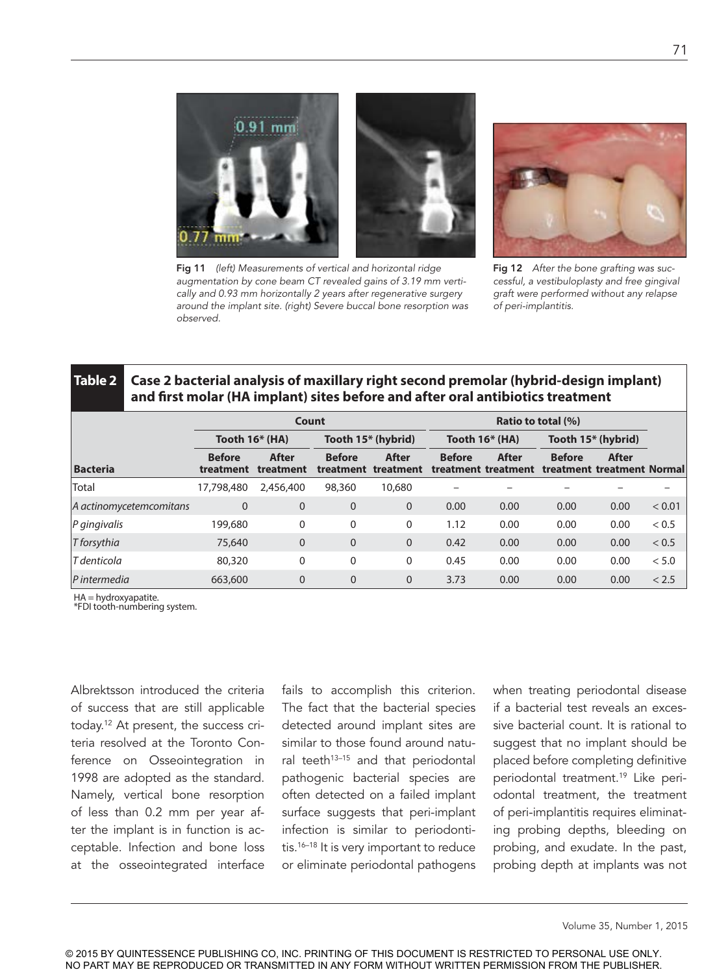

Fig 11 *(left) Measurements of vertical and horizontal ridge augmentation by cone beam CT revealed gains of 3.19 mm vertically and 0.93 mm horizontally 2 years after regenerative surgery around the implant site. (right) Severe buccal bone resorption was observed.*

Fig 12 *After the bone grafting was successful, a vestibuloplasty and free gingival graft were performed without any relapse of peri-implantitis.*

# **Table 2 Case 2 bacterial analysis of maxillary right second premolar (hybrid-design implant) and first molar (HA implant) sites before and after oral antibiotics treatment**

|                         | Count                      |                           |                            |                    |                  | Ratio to total (%) |                                                                 |              |        |
|-------------------------|----------------------------|---------------------------|----------------------------|--------------------|------------------|--------------------|-----------------------------------------------------------------|--------------|--------|
|                         | Tooth $16*$ (HA)           |                           | Tooth 15* (hybrid)         |                    | Tooth $16*$ (HA) |                    | Tooth 15* (hybrid)                                              |              |        |
| <b>Bacteria</b>         | <b>Before</b><br>treatment | <b>After</b><br>treatment | <b>Before</b><br>treatment | After<br>treatment | <b>Before</b>    | <b>After</b>       | <b>Before</b><br>treatment treatment treatment treatment Normal | <b>After</b> |        |
| Total                   | 17,798,480                 | 2,456,400                 | 98,360                     | 10,680             |                  |                    |                                                                 |              |        |
| A actinomycetemcomitans | $\mathbf 0$                | $\mathbf{0}$              | $\mathbf{0}$               | $\Omega$           | 0.00             | 0.00               | 0.00                                                            | 0.00         | < 0.01 |
| P gingivalis            | 199,680                    | 0                         | $\mathbf 0$                | $\Omega$           | 1.12             | 0.00               | 0.00                                                            | 0.00         | < 0.5  |
| T forsythia             | 75,640                     | 0                         | $\mathbf{0}$               | $\Omega$           | 0.42             | 0.00               | 0.00                                                            | 0.00         | < 0.5  |
| T denticola             | 80,320                     | 0                         | 0                          | $\Omega$           | 0.45             | 0.00               | 0.00                                                            | 0.00         | < 5.0  |
| P intermedia            | 663,600                    | 0                         | $\mathbf 0$                | 0                  | 3.73             | 0.00               | 0.00                                                            | 0.00         | < 2.5  |

HA = hydroxyapatite.

\*FDI tooth-numbering system.

Albrektsson introduced the criteria of success that are still applicable today.12 At present, the success criteria resolved at the Toronto Conference on Osseointegration in 1998 are adopted as the standard. Namely, vertical bone resorption of less than 0.2 mm per year after the implant is in function is acceptable. Infection and bone loss at the osseointegrated interface

fails to accomplish this criterion. The fact that the bacterial species detected around implant sites are similar to those found around natural teeth<sup>13-15</sup> and that periodontal pathogenic bacterial species are often detected on a failed implant surface suggests that peri-implant infection is similar to periodontitis.16–18 It is very important to reduce or eliminate periodontal pathogens when treating periodontal disease if a bacterial test reveals an excessive bacterial count. It is rational to suggest that no implant should be placed before completing definitive periodontal treatment.19 Like periodontal treatment, the treatment of peri-implantitis requires eliminating probing depths, bleeding on probing, and exudate. In the past, probing depth at implants was not

Volume 35, Number 1, 2015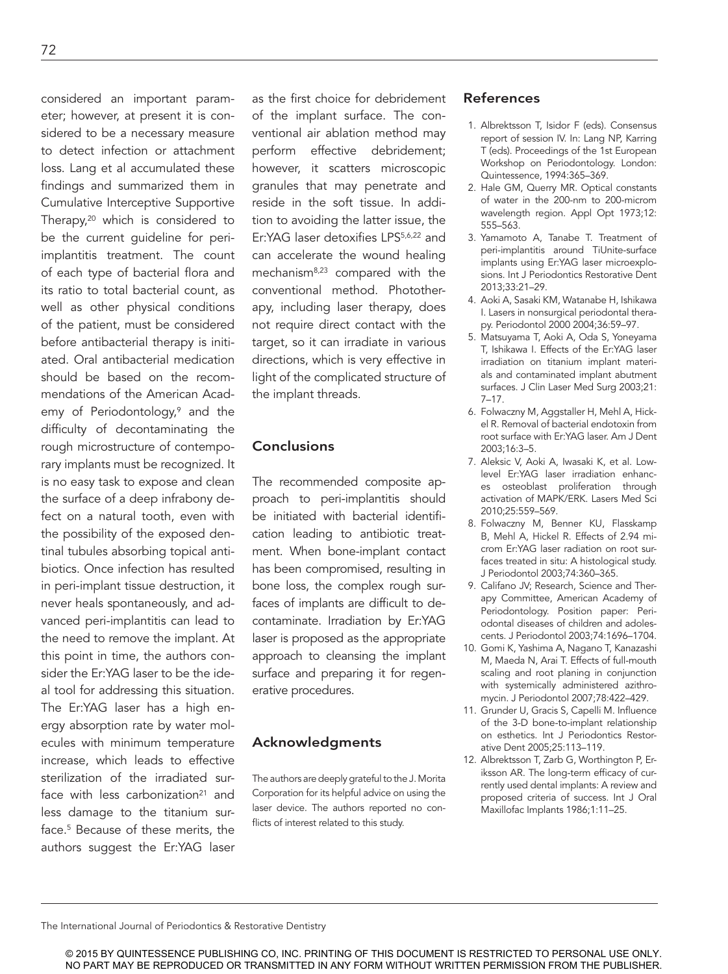considered an important parameter; however, at present it is considered to be a necessary measure to detect infection or attachment loss. Lang et al accumulated these findings and summarized them in Cumulative Interceptive Supportive Therapy,<sup>20</sup> which is considered to be the current guideline for periimplantitis treatment. The count of each type of bacterial flora and its ratio to total bacterial count, as well as other physical conditions of the patient, must be considered before antibacterial therapy is initiated. Oral antibacterial medication should be based on the recommendations of the American Academy of Periodontology,<sup>9</sup> and the difficulty of decontaminating the rough microstructure of contemporary implants must be recognized. It is no easy task to expose and clean the surface of a deep infrabony defect on a natural tooth, even with the possibility of the exposed dentinal tubules absorbing topical antibiotics. Once infection has resulted in peri-implant tissue destruction, it never heals spontaneously, and advanced peri-implantitis can lead to the need to remove the implant. At this point in time, the authors consider the Er:YAG laser to be the ideal tool for addressing this situation. The Er:YAG laser has a high energy absorption rate by water molecules with minimum temperature increase, which leads to effective sterilization of the irradiated surface with less carbonization<sup>21</sup> and less damage to the titanium surface.5 Because of these merits, the authors suggest the Er:YAG laser

as the first choice for debridement of the implant surface. The conventional air ablation method may perform effective debridement; however, it scatters microscopic granules that may penetrate and reside in the soft tissue. In addition to avoiding the latter issue, the Er:YAG laser detoxifies LPS5,6,22 and can accelerate the wound healing mechanism8,23 compared with the conventional method. Phototherapy, including laser therapy, does not require direct contact with the target, so it can irradiate in various directions, which is very effective in light of the complicated structure of the implant threads.

# **Conclusions**

The recommended composite approach to peri-implantitis should be initiated with bacterial identification leading to antibiotic treatment. When bone-implant contact has been compromised, resulting in bone loss, the complex rough surfaces of implants are difficult to decontaminate. Irradiation by Er:YAG laser is proposed as the appropriate approach to cleansing the implant surface and preparing it for regenerative procedures.

### Acknowledgments

The authors are deeply grateful to the J. Morita Corporation for its helpful advice on using the laser device. The authors reported no conflicts of interest related to this study.

#### References

- 1. Albrektsson T, Isidor F (eds). Consensus report of session IV. In: Lang NP, Karring T (eds). Proceedings of the 1st European Workshop on Periodontology. London: Quintessence, 1994:365–369.
- 2. Hale GM, Querry MR. Optical constants of water in the 200-nm to 200-microm wavelength region. Appl Opt 1973;12: 555–563.
- 3. Yamamoto A, Tanabe T. Treatment of peri-implantitis around TiUnite-surface implants using Er:YAG laser microexplosions. Int J Periodontics Restorative Dent 2013;33:21–29.
- 4. Aoki A, Sasaki KM, Watanabe H, Ishikawa I. Lasers in nonsurgical periodontal therapy. Periodontol 2000 2004;36:59–97.
- 5. Matsuyama T, Aoki A, Oda S, Yoneyama T, Ishikawa I. Effects of the Er:YAG laser irradiation on titanium implant materials and contaminated implant abutment surfaces. J Clin Laser Med Surg 2003;21: 7–17.
- 6. Folwaczny M, Aggstaller H, Mehl A, Hickel R. Removal of bacterial endotoxin from root surface with Er:YAG laser. Am J Dent 2003;16:3–5.
- 7. Aleksic V, Aoki A, Iwasaki K, et al. Lowlevel Er:YAG laser irradiation enhances osteoblast proliferation through activation of MAPK/ERK. Lasers Med Sci 2010;25:559–569.
- 8. Folwaczny M, Benner KU, Flasskamp B, Mehl A, Hickel R. Effects of 2.94 microm Er:YAG laser radiation on root surfaces treated in situ: A histological study. J Periodontol 2003;74:360–365.
- 9. Califano JV; Research, Science and Therapy Committee, American Academy of Periodontology. Position paper: Periodontal diseases of children and adolescents. J Periodontol 2003;74:1696–1704.
- 10. Gomi K, Yashima A, Nagano T, Kanazashi M, Maeda N, Arai T. Effects of full-mouth scaling and root planing in conjunction with systemically administered azithromycin. J Periodontol 2007;78:422–429.
- 11. Grunder U, Gracis S, Capelli M. Influence of the 3-D bone-to-implant relationship on esthetics. Int J Periodontics Restorative Dent 2005;25:113–119.
- 12. Albrektsson T, Zarb G, Worthington P, Eriksson AR. The long-term efficacy of currently used dental implants: A review and proposed criteria of success. Int J Oral Maxillofac Implants 1986;1:11–25.

The International Journal of Periodontics & Restorative Dentistry